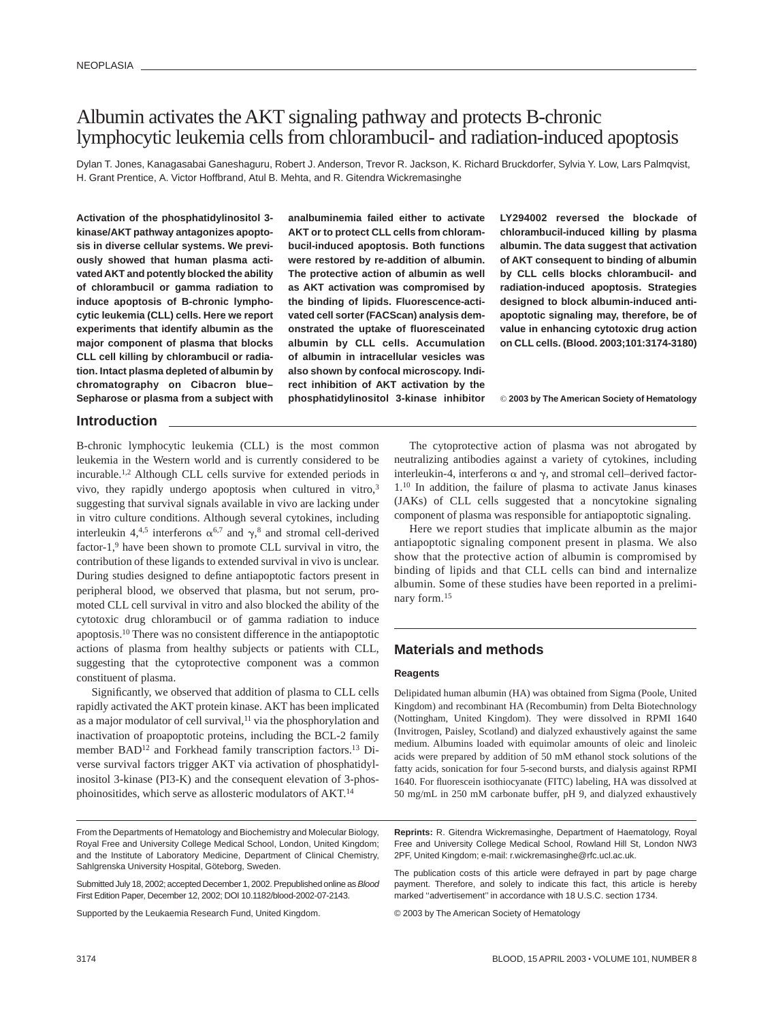# Albumin activates the AKT signaling pathway and protects B-chronic lymphocytic leukemia cells from chlorambucil- and radiation-induced apoptosis

Dylan T. Jones, Kanagasabai Ganeshaguru, Robert J. Anderson, Trevor R. Jackson, K. Richard Bruckdorfer, Sylvia Y. Low, Lars Palmqvist, H. Grant Prentice, A. Victor Hoffbrand, Atul B. Mehta, and R. Gitendra Wickremasinghe

**Activation of the phosphatidylinositol 3 kinase/AKT pathway antagonizes apoptosis in diverse cellular systems. We previously showed that human plasma activated AKT and potently blocked the ability of chlorambucil or gamma radiation to induce apoptosis of B-chronic lymphocytic leukemia (CLL) cells. Here we report experiments that identify albumin as the major component of plasma that blocks CLL cell killing by chlorambucil or radiation. Intact plasma depleted of albumin by chromatography on Cibacron blue– Sepharose or plasma from a subject with**

**analbuminemia failed either to activate AKT or to protect CLL cells from chlorambucil-induced apoptosis. Both functions were restored by re-addition of albumin. The protective action of albumin as well as AKT activation was compromised by the binding of lipids. Fluorescence-activated cell sorter (FACScan) analysis demonstrated the uptake of fluoresceinated albumin by CLL cells. Accumulation of albumin in intracellular vesicles was also shown by confocal microscopy. Indirect inhibition of AKT activation by the phosphatidylinositol 3-kinase inhibitor** **LY294002 reversed the blockade of chlorambucil-induced killing by plasma albumin. The data suggest that activation of AKT consequent to binding of albumin by CLL cells blocks chlorambucil- and radiation-induced apoptosis. Strategies designed to block albumin-induced antiapoptotic signaling may, therefore, be of value in enhancing cytotoxic drug action on CLL cells. (Blood. 2003;101:3174-3180)**

© **2003 by The American Society of Hematology**

### **Introduction**

B-chronic lymphocytic leukemia (CLL) is the most common leukemia in the Western world and is currently considered to be incurable.1,2 Although CLL cells survive for extended periods in vivo, they rapidly undergo apoptosis when cultured in vitro,<sup>3</sup> suggesting that survival signals available in vivo are lacking under in vitro culture conditions. Although several cytokines, including interleukin 4,<sup>4,5</sup> interferons  $\alpha^{6,7}$  and  $\gamma$ ,<sup>8</sup> and stromal cell-derived factor-1,<sup>9</sup> have been shown to promote CLL survival in vitro, the contribution of these ligands to extended survival in vivo is unclear. During studies designed to define antiapoptotic factors present in peripheral blood, we observed that plasma, but not serum, promoted CLL cell survival in vitro and also blocked the ability of the cytotoxic drug chlorambucil or of gamma radiation to induce apoptosis.10 There was no consistent difference in the antiapoptotic actions of plasma from healthy subjects or patients with CLL, suggesting that the cytoprotective component was a common constituent of plasma.

Significantly, we observed that addition of plasma to CLL cells rapidly activated the AKT protein kinase. AKT has been implicated as a major modulator of cell survival,<sup>11</sup> via the phosphorylation and inactivation of proapoptotic proteins, including the BCL-2 family member BAD<sup>12</sup> and Forkhead family transcription factors.<sup>13</sup> Diverse survival factors trigger AKT via activation of phosphatidylinositol 3-kinase (PI3-K) and the consequent elevation of 3-phosphoinositides, which serve as allosteric modulators of AKT.14

Supported by the Leukaemia Research Fund, United Kingdom.

The cytoprotective action of plasma was not abrogated by neutralizing antibodies against a variety of cytokines, including interleukin-4, interferons  $\alpha$  and  $\gamma$ , and stromal cell-derived factor-1.10 In addition, the failure of plasma to activate Janus kinases (JAKs) of CLL cells suggested that a noncytokine signaling component of plasma was responsible for antiapoptotic signaling.

Here we report studies that implicate albumin as the major antiapoptotic signaling component present in plasma. We also show that the protective action of albumin is compromised by binding of lipids and that CLL cells can bind and internalize albumin. Some of these studies have been reported in a preliminary form.15

# **Materials and methods**

### **Reagents**

Delipidated human albumin (HA) was obtained from Sigma (Poole, United Kingdom) and recombinant HA (Recombumin) from Delta Biotechnology (Nottingham, United Kingdom). They were dissolved in RPMI 1640 (Invitrogen, Paisley, Scotland) and dialyzed exhaustively against the same medium. Albumins loaded with equimolar amounts of oleic and linoleic acids were prepared by addition of 50 mM ethanol stock solutions of the fatty acids, sonication for four 5-second bursts, and dialysis against RPMI 1640. For fluorescein isothiocyanate (FITC) labeling, HA was dissolved at 50 mg/mL in 250 mM carbonate buffer, pH 9, and dialyzed exhaustively

**Reprints:** R. Gitendra Wickremasinghe, Department of Haematology, Royal Free and University College Medical School, Rowland Hill St, London NW3 2PF, United Kingdom; e-mail: r.wickremasinghe@rfc.ucl.ac.uk.

The publication costs of this article were defrayed in part by page charge payment. Therefore, and solely to indicate this fact, this article is hereby marked "advertisement" in accordance with 18 U.S.C. section 1734.

© 2003 by The American Society of Hematology

From the Departments of Hematology and Biochemistry and Molecular Biology, Royal Free and University College Medical School, London, United Kingdom; and the Institute of Laboratory Medicine, Department of Clinical Chemistry, Sahlgrenska University Hospital, Göteborg, Sweden.

Submitted July 18, 2002; accepted December 1, 2002. Prepublished online as Blood First Edition Paper, December 12, 2002; DOI 10.1182/blood-2002-07-2143.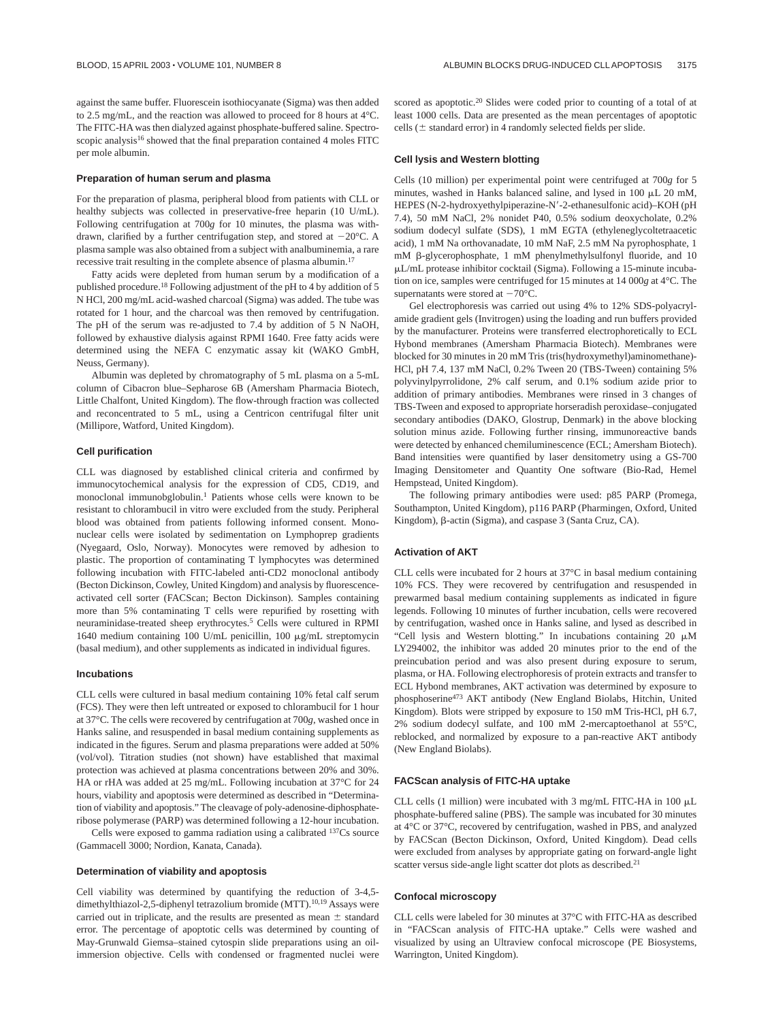against the same buffer. Fluorescein isothiocyanate (Sigma) was then added to 2.5 mg/mL, and the reaction was allowed to proceed for 8 hours at 4°C. The FITC-HA was then dialyzed against phosphate-buffered saline. Spectroscopic analysis<sup>16</sup> showed that the final preparation contained 4 moles FITC per mole albumin.

#### **Preparation of human serum and plasma**

For the preparation of plasma, peripheral blood from patients with CLL or healthy subjects was collected in preservative-free heparin (10 U/mL). Following centrifugation at 700*g* for 10 minutes, the plasma was withdrawn, clarified by a further centrifugation step, and stored at  $-20^{\circ}$ C. A plasma sample was also obtained from a subject with analbuminemia, a rare recessive trait resulting in the complete absence of plasma albumin.<sup>17</sup>

Fatty acids were depleted from human serum by a modification of a published procedure.18 Following adjustment of the pH to 4 by addition of 5 N HCl, 200 mg/mL acid-washed charcoal (Sigma) was added. The tube was rotated for 1 hour, and the charcoal was then removed by centrifugation. The pH of the serum was re-adjusted to 7.4 by addition of 5 N NaOH, followed by exhaustive dialysis against RPMI 1640. Free fatty acids were determined using the NEFA C enzymatic assay kit (WAKO GmbH, Neuss, Germany).

Albumin was depleted by chromatography of 5 mL plasma on a 5-mL column of Cibacron blue–Sepharose 6B (Amersham Pharmacia Biotech, Little Chalfont, United Kingdom). The flow-through fraction was collected and reconcentrated to 5 mL, using a Centricon centrifugal filter unit (Millipore, Watford, United Kingdom).

#### **Cell purification**

CLL was diagnosed by established clinical criteria and confirmed by immunocytochemical analysis for the expression of CD5, CD19, and monoclonal immunobglobulin.1 Patients whose cells were known to be resistant to chlorambucil in vitro were excluded from the study. Peripheral blood was obtained from patients following informed consent. Mononuclear cells were isolated by sedimentation on Lymphoprep gradients (Nyegaard, Oslo, Norway). Monocytes were removed by adhesion to plastic. The proportion of contaminating T lymphocytes was determined following incubation with FITC-labeled anti-CD2 monoclonal antibody (Becton Dickinson, Cowley, United Kingdom) and analysis by fluorescenceactivated cell sorter (FACScan; Becton Dickinson). Samples containing more than 5% contaminating T cells were repurified by rosetting with neuraminidase-treated sheep erythrocytes.5 Cells were cultured in RPMI 1640 medium containing 100 U/mL penicillin, 100 µg/mL streptomycin (basal medium), and other supplements as indicated in individual figures.

#### **Incubations**

CLL cells were cultured in basal medium containing 10% fetal calf serum (FCS). They were then left untreated or exposed to chlorambucil for 1 hour at 37°C. The cells were recovered by centrifugation at 700*g*, washed once in Hanks saline, and resuspended in basal medium containing supplements as indicated in the figures. Serum and plasma preparations were added at 50% (vol/vol). Titration studies (not shown) have established that maximal protection was achieved at plasma concentrations between 20% and 30%. HA or rHA was added at 25 mg/mL. Following incubation at 37°C for 24 hours, viability and apoptosis were determined as described in "Determination of viability and apoptosis." The cleavage of poly-adenosine-diphosphateribose polymerase (PARP) was determined following a 12-hour incubation.

Cells were exposed to gamma radiation using a calibrated 137Cs source (Gammacell 3000; Nordion, Kanata, Canada).

### **Determination of viability and apoptosis**

Cell viability was determined by quantifying the reduction of 3-4,5 dimethylthiazol-2,5-diphenyl tetrazolium bromide (MTT).<sup>10,19</sup> Assays were carried out in triplicate, and the results are presented as mean  $\pm$  standard error. The percentage of apoptotic cells was determined by counting of May-Grunwald Giemsa–stained cytospin slide preparations using an oilimmersion objective. Cells with condensed or fragmented nuclei were

scored as apoptotic.20 Slides were coded prior to counting of a total of at least 1000 cells. Data are presented as the mean percentages of apoptotic cells ( $\pm$  standard error) in 4 randomly selected fields per slide.

#### **Cell lysis and Western blotting**

Cells (10 million) per experimental point were centrifuged at 700*g* for 5 minutes, washed in Hanks balanced saline, and lysed in 100  $\mu$ L 20 mM, HEPES (N-2-hydroxyethylpiperazine-N-2-ethanesulfonic acid)–KOH (pH 7.4), 50 mM NaCl, 2% nonidet P40, 0.5% sodium deoxycholate, 0.2% sodium dodecyl sulfate (SDS), 1 mM EGTA (ethyleneglycoltetraacetic acid), 1 mM Na orthovanadate, 10 mM NaF, 2.5 mM Na pyrophosphate, 1  $mM$   $\beta$ -glycerophosphate, 1 mM phenylmethylsulfonyl fluoride, and 10 L/mL protease inhibitor cocktail (Sigma). Following a 15-minute incubation on ice, samples were centrifuged for 15 minutes at 14 000*g* at 4°C. The supernatants were stored at  $-70^{\circ}$ C.

Gel electrophoresis was carried out using 4% to 12% SDS-polyacrylamide gradient gels (Invitrogen) using the loading and run buffers provided by the manufacturer. Proteins were transferred electrophoretically to ECL Hybond membranes (Amersham Pharmacia Biotech). Membranes were blocked for 30 minutes in 20 mM Tris (tris(hydroxymethyl)aminomethane)- HCl, pH 7.4, 137 mM NaCl, 0.2% Tween 20 (TBS-Tween) containing 5% polyvinylpyrrolidone, 2% calf serum, and 0.1% sodium azide prior to addition of primary antibodies. Membranes were rinsed in 3 changes of TBS-Tween and exposed to appropriate horseradish peroxidase–conjugated secondary antibodies (DAKO, Glostrup, Denmark) in the above blocking solution minus azide. Following further rinsing, immunoreactive bands were detected by enhanced chemiluminescence (ECL; Amersham Biotech). Band intensities were quantified by laser densitometry using a GS-700 Imaging Densitometer and Quantity One software (Bio-Rad, Hemel Hempstead, United Kingdom).

The following primary antibodies were used: p85 PARP (Promega, Southampton, United Kingdom), p116 PARP (Pharmingen, Oxford, United Kingdom),  $\beta$ -actin (Sigma), and caspase 3 (Santa Cruz, CA).

#### **Activation of AKT**

CLL cells were incubated for 2 hours at 37°C in basal medium containing 10% FCS. They were recovered by centrifugation and resuspended in prewarmed basal medium containing supplements as indicated in figure legends. Following 10 minutes of further incubation, cells were recovered by centrifugation, washed once in Hanks saline, and lysed as described in "Cell lysis and Western blotting." In incubations containing 20  $\mu$ M LY294002, the inhibitor was added 20 minutes prior to the end of the preincubation period and was also present during exposure to serum, plasma, or HA. Following electrophoresis of protein extracts and transfer to ECL Hybond membranes, AKT activation was determined by exposure to phosphoserine473 AKT antibody (New England Biolabs, Hitchin, United Kingdom). Blots were stripped by exposure to 150 mM Tris-HCl, pH 6.7, 2% sodium dodecyl sulfate, and 100 mM 2-mercaptoethanol at 55°C, reblocked, and normalized by exposure to a pan-reactive AKT antibody (New England Biolabs).

#### **FACScan analysis of FITC-HA uptake**

CLL cells (1 million) were incubated with 3 mg/mL FITC-HA in 100  $\mu$ L phosphate-buffered saline (PBS). The sample was incubated for 30 minutes at 4°C or 37°C, recovered by centrifugation, washed in PBS, and analyzed by FACScan (Becton Dickinson, Oxford, United Kingdom). Dead cells were excluded from analyses by appropriate gating on forward-angle light scatter versus side-angle light scatter dot plots as described.21

#### **Confocal microscopy**

CLL cells were labeled for 30 minutes at 37°C with FITC-HA as described in "FACScan analysis of FITC-HA uptake." Cells were washed and visualized by using an Ultraview confocal microscope (PE Biosystems, Warrington, United Kingdom).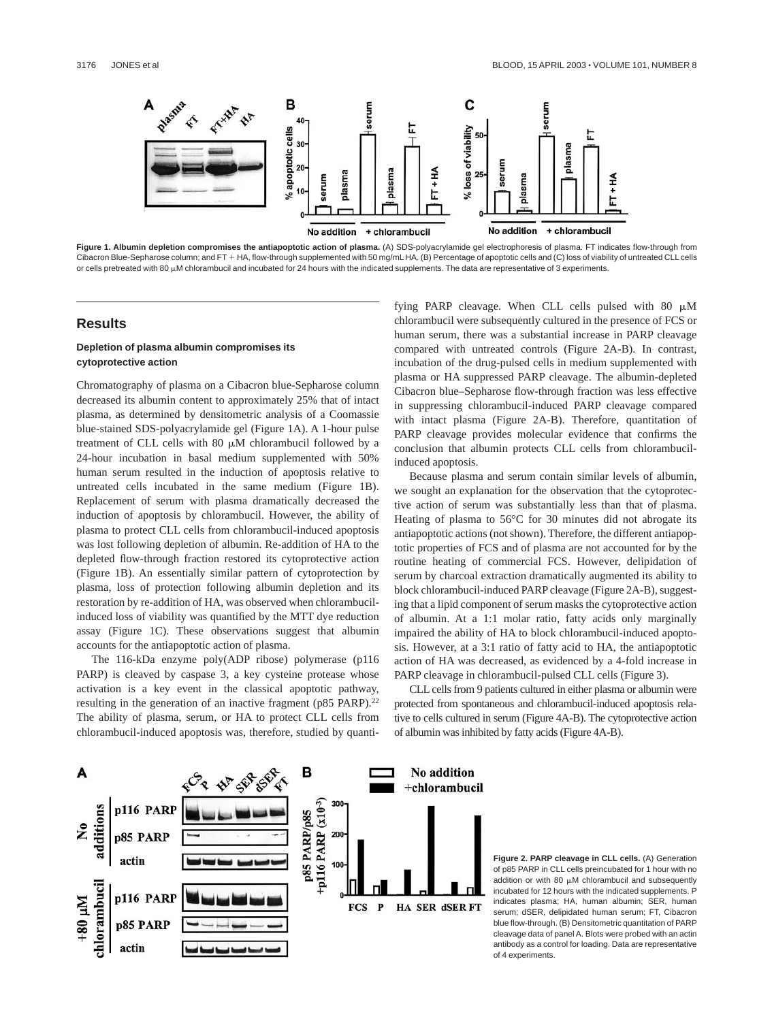

**Figure 1. Albumin depletion compromises the antiapoptotic action of plasma.** (A) SDS-polyacrylamide gel electrophoresis of plasma. FT indicates flow-through from Cibacron Blue-Sepharose column; and FT + HA, flow-through supplemented with 50 mg/mL HA. (B) Percentage of apoptotic cells and (C) loss of viability of untreated CLL cells or cells pretreated with 80  $\mu$ M chlorambucil and incubated for 24 hours with the indicated supplements. The data are representative of 3 experiments.

### **Results**

### **Depletion of plasma albumin compromises its cytoprotective action**

Chromatography of plasma on a Cibacron blue-Sepharose column decreased its albumin content to approximately 25% that of intact plasma, as determined by densitometric analysis of a Coomassie blue-stained SDS-polyacrylamide gel (Figure 1A). A 1-hour pulse treatment of CLL cells with 80  $\mu$ M chlorambucil followed by a 24-hour incubation in basal medium supplemented with 50% human serum resulted in the induction of apoptosis relative to untreated cells incubated in the same medium (Figure 1B). Replacement of serum with plasma dramatically decreased the induction of apoptosis by chlorambucil. However, the ability of plasma to protect CLL cells from chlorambucil-induced apoptosis was lost following depletion of albumin. Re-addition of HA to the depleted flow-through fraction restored its cytoprotective action (Figure 1B). An essentially similar pattern of cytoprotection by plasma, loss of protection following albumin depletion and its restoration by re-addition of HA, was observed when chlorambucilinduced loss of viability was quantified by the MTT dye reduction assay (Figure 1C). These observations suggest that albumin accounts for the antiapoptotic action of plasma.

The 116-kDa enzyme poly(ADP ribose) polymerase (p116 PARP) is cleaved by caspase 3, a key cysteine protease whose activation is a key event in the classical apoptotic pathway, resulting in the generation of an inactive fragment (p85 PARP).<sup>22</sup> The ability of plasma, serum, or HA to protect CLL cells from chlorambucil-induced apoptosis was, therefore, studied by quantifying PARP cleavage. When CLL cells pulsed with 80  $\mu$ M chlorambucil were subsequently cultured in the presence of FCS or human serum, there was a substantial increase in PARP cleavage compared with untreated controls (Figure 2A-B). In contrast, incubation of the drug-pulsed cells in medium supplemented with plasma or HA suppressed PARP cleavage. The albumin-depleted Cibacron blue–Sepharose flow-through fraction was less effective in suppressing chlorambucil-induced PARP cleavage compared with intact plasma (Figure 2A-B). Therefore, quantitation of PARP cleavage provides molecular evidence that confirms the conclusion that albumin protects CLL cells from chlorambucilinduced apoptosis.

Because plasma and serum contain similar levels of albumin, we sought an explanation for the observation that the cytoprotective action of serum was substantially less than that of plasma. Heating of plasma to 56°C for 30 minutes did not abrogate its antiapoptotic actions (not shown). Therefore, the different antiapoptotic properties of FCS and of plasma are not accounted for by the routine heating of commercial FCS. However, delipidation of serum by charcoal extraction dramatically augmented its ability to block chlorambucil-induced PARP cleavage (Figure 2A-B), suggesting that a lipid component of serum masks the cytoprotective action of albumin. At a 1:1 molar ratio, fatty acids only marginally impaired the ability of HA to block chlorambucil-induced apoptosis. However, at a 3:1 ratio of fatty acid to HA, the antiapoptotic action of HA was decreased, as evidenced by a 4-fold increase in PARP cleavage in chlorambucil-pulsed CLL cells (Figure 3).

CLL cells from 9 patients cultured in either plasma or albumin were protected from spontaneous and chlorambucil-induced apoptosis relative to cells cultured in serum (Figure 4A-B). The cytoprotective action of albumin was inhibited by fatty acids (Figure 4A-B).



**Figure 2. PARP cleavage in CLL cells.** (A) Generation of p85 PARP in CLL cells preincubated for 1 hour with no addition or with 80  $\mu$ M chlorambucil and subsequently incubated for 12 hours with the indicated supplements. P indicates plasma; HA, human albumin; SER, human serum; dSER, delipidated human serum; FT, Cibacron blue flow-through. (B) Densitometric quantitation of PARP cleavage data of panel A. Blots were probed with an actin antibody as a control for loading. Data are representative of 4 experiments.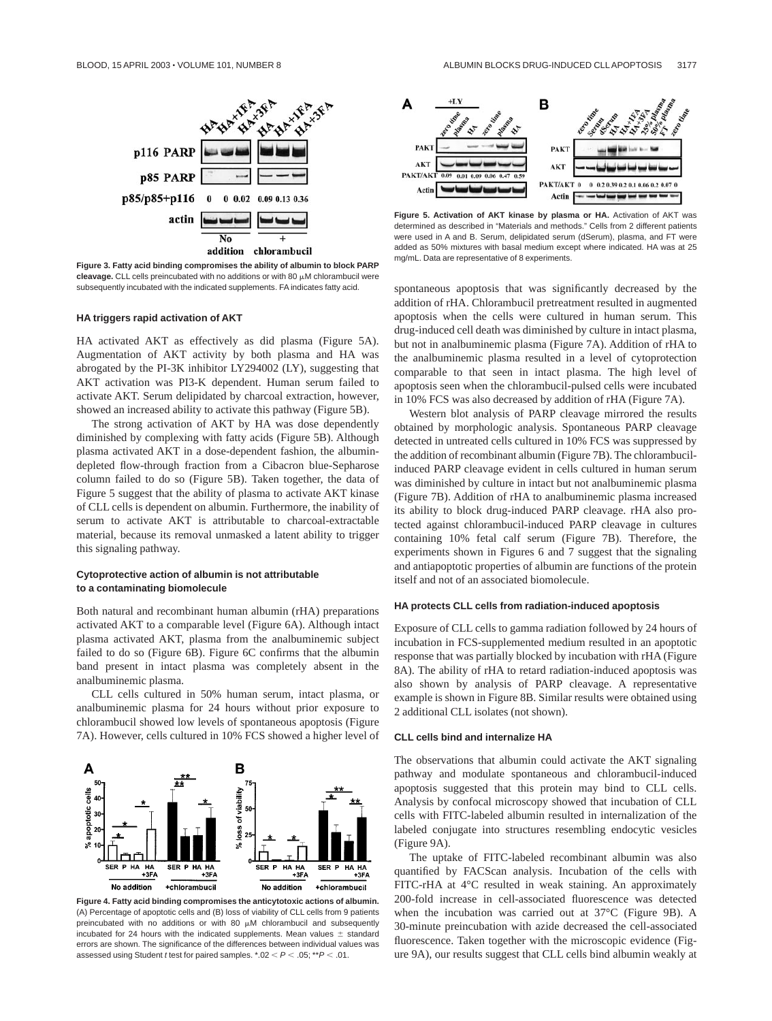

**Figure 3. Fatty acid binding compromises the ability of albumin to block PARP**  $c$ leavage. CLL cells preincubated with no additions or with 80  $\mu$ M chlorambucil were subsequently incubated with the indicated supplements. FA indicates fatty acid.

### **HA triggers rapid activation of AKT**

HA activated AKT as effectively as did plasma (Figure 5A). Augmentation of AKT activity by both plasma and HA was abrogated by the PI-3K inhibitor LY294002 (LY), suggesting that AKT activation was PI3-K dependent. Human serum failed to activate AKT. Serum delipidated by charcoal extraction, however, showed an increased ability to activate this pathway (Figure 5B).

The strong activation of AKT by HA was dose dependently diminished by complexing with fatty acids (Figure 5B). Although plasma activated AKT in a dose-dependent fashion, the albumindepleted flow-through fraction from a Cibacron blue-Sepharose column failed to do so (Figure 5B). Taken together, the data of Figure 5 suggest that the ability of plasma to activate AKT kinase of CLL cells is dependent on albumin. Furthermore, the inability of serum to activate AKT is attributable to charcoal-extractable material, because its removal unmasked a latent ability to trigger this signaling pathway.

### **Cytoprotective action of albumin is not attributable to a contaminating biomolecule**

Both natural and recombinant human albumin (rHA) preparations activated AKT to a comparable level (Figure 6A). Although intact plasma activated AKT, plasma from the analbuminemic subject failed to do so (Figure 6B). Figure 6C confirms that the albumin band present in intact plasma was completely absent in the analbuminemic plasma.

CLL cells cultured in 50% human serum, intact plasma, or analbuminemic plasma for 24 hours without prior exposure to chlorambucil showed low levels of spontaneous apoptosis (Figure 7A). However, cells cultured in 10% FCS showed a higher level of



**Figure 4. Fatty acid binding compromises the anticytotoxic actions of albumin.** (A) Percentage of apoptotic cells and (B) loss of viability of CLL cells from 9 patients preincubated with no additions or with 80  $\mu$ M chlorambucil and subsequently incubated for 24 hours with the indicated supplements. Mean values  $\pm$  standard errors are shown. The significance of the differences between individual values was assessed using Student t test for paired samples.  $*.02 < P < .05; **P < .01$ .



**Figure 5. Activation of AKT kinase by plasma or HA.** Activation of AKT was determined as described in "Materials and methods." Cells from 2 different patients were used in A and B. Serum, delipidated serum (dSerum), plasma, and FT were added as 50% mixtures with basal medium except where indicated. HA was at 25 mg/mL. Data are representative of 8 experiments.

spontaneous apoptosis that was significantly decreased by the addition of rHA. Chlorambucil pretreatment resulted in augmented apoptosis when the cells were cultured in human serum. This drug-induced cell death was diminished by culture in intact plasma, but not in analbuminemic plasma (Figure 7A). Addition of rHA to the analbuminemic plasma resulted in a level of cytoprotection comparable to that seen in intact plasma. The high level of apoptosis seen when the chlorambucil-pulsed cells were incubated in 10% FCS was also decreased by addition of rHA (Figure 7A).

Western blot analysis of PARP cleavage mirrored the results obtained by morphologic analysis. Spontaneous PARP cleavage detected in untreated cells cultured in 10% FCS was suppressed by the addition of recombinant albumin (Figure 7B). The chlorambucilinduced PARP cleavage evident in cells cultured in human serum was diminished by culture in intact but not analbuminemic plasma (Figure 7B). Addition of rHA to analbuminemic plasma increased its ability to block drug-induced PARP cleavage. rHA also protected against chlorambucil-induced PARP cleavage in cultures containing 10% fetal calf serum (Figure 7B). Therefore, the experiments shown in Figures 6 and 7 suggest that the signaling and antiapoptotic properties of albumin are functions of the protein itself and not of an associated biomolecule.

### **HA protects CLL cells from radiation-induced apoptosis**

Exposure of CLL cells to gamma radiation followed by 24 hours of incubation in FCS-supplemented medium resulted in an apoptotic response that was partially blocked by incubation with rHA (Figure 8A). The ability of rHA to retard radiation-induced apoptosis was also shown by analysis of PARP cleavage. A representative example is shown in Figure 8B. Similar results were obtained using 2 additional CLL isolates (not shown).

### **CLL cells bind and internalize HA**

The observations that albumin could activate the AKT signaling pathway and modulate spontaneous and chlorambucil-induced apoptosis suggested that this protein may bind to CLL cells. Analysis by confocal microscopy showed that incubation of CLL cells with FITC-labeled albumin resulted in internalization of the labeled conjugate into structures resembling endocytic vesicles (Figure 9A).

The uptake of FITC-labeled recombinant albumin was also quantified by FACScan analysis. Incubation of the cells with FITC-rHA at 4°C resulted in weak staining. An approximately 200-fold increase in cell-associated fluorescence was detected when the incubation was carried out at 37°C (Figure 9B). A 30-minute preincubation with azide decreased the cell-associated fluorescence. Taken together with the microscopic evidence (Figure 9A), our results suggest that CLL cells bind albumin weakly at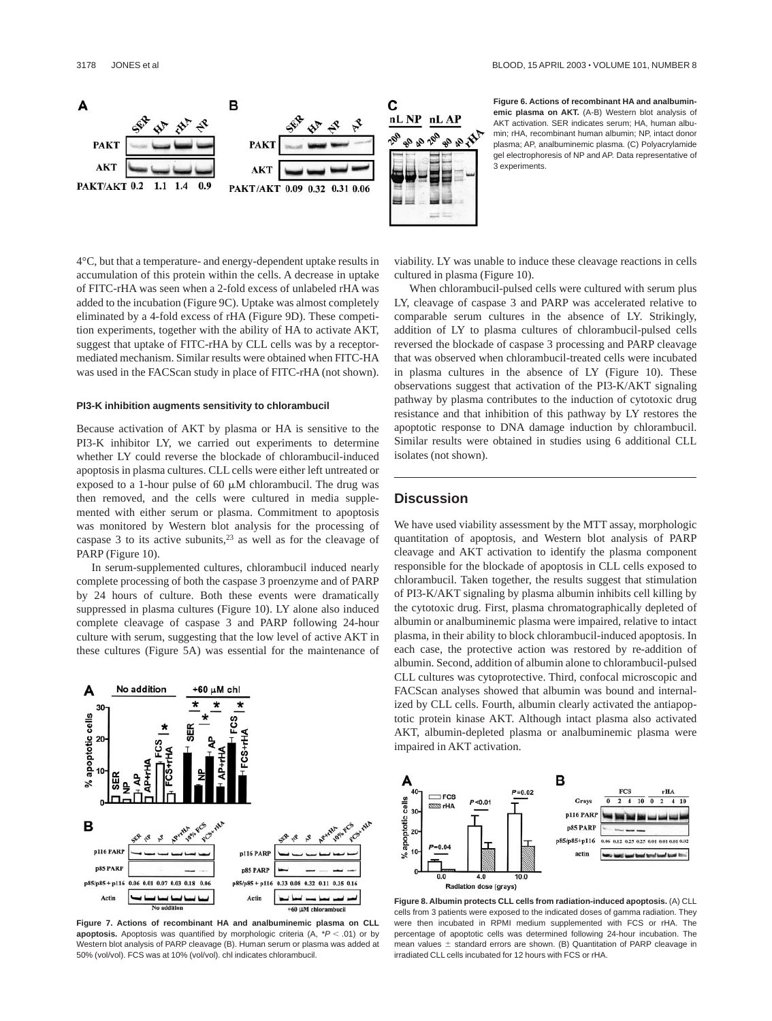

**Figure 6. Actions of recombinant HA and analbuminemic plasma on AKT.** (A-B) Western blot analysis of AKT activation. SER indicates serum; HA, human albumin; rHA, recombinant human albumin; NP, intact donor plasma; AP, analbuminemic plasma. (C) Polyacrylamide gel electrophoresis of NP and AP. Data representative of 3 experiments.

4°C, but that a temperature- and energy-dependent uptake results in accumulation of this protein within the cells. A decrease in uptake of FITC-rHA was seen when a 2-fold excess of unlabeled rHA was added to the incubation (Figure 9C). Uptake was almost completely eliminated by a 4-fold excess of rHA (Figure 9D). These competition experiments, together with the ability of HA to activate AKT, suggest that uptake of FITC-rHA by CLL cells was by a receptormediated mechanism. Similar results were obtained when FITC-HA was used in the FACScan study in place of FITC-rHA (not shown).

#### **PI3-K inhibition augments sensitivity to chlorambucil**

Because activation of AKT by plasma or HA is sensitive to the PI3-K inhibitor LY, we carried out experiments to determine whether LY could reverse the blockade of chlorambucil-induced apoptosis in plasma cultures. CLL cells were either left untreated or exposed to a 1-hour pulse of 60  $\mu$ M chlorambucil. The drug was then removed, and the cells were cultured in media supplemented with either serum or plasma. Commitment to apoptosis was monitored by Western blot analysis for the processing of caspase 3 to its active subunits,  $23$  as well as for the cleavage of PARP (Figure 10).

In serum-supplemented cultures, chlorambucil induced nearly complete processing of both the caspase 3 proenzyme and of PARP by 24 hours of culture. Both these events were dramatically suppressed in plasma cultures (Figure 10). LY alone also induced complete cleavage of caspase 3 and PARP following 24-hour culture with serum, suggesting that the low level of active AKT in these cultures (Figure 5A) was essential for the maintenance of



**Figure 7. Actions of recombinant HA and analbuminemic plasma on CLL apoptosis.** Apoptosis was quantified by morphologic criteria  $(A, *P < .01)$  or by Western blot analysis of PARP cleavage (B). Human serum or plasma was added at 50% (vol/vol). FCS was at 10% (vol/vol). chl indicates chlorambucil.

viability. LY was unable to induce these cleavage reactions in cells cultured in plasma (Figure 10).

When chlorambucil-pulsed cells were cultured with serum plus LY, cleavage of caspase 3 and PARP was accelerated relative to comparable serum cultures in the absence of LY. Strikingly, addition of LY to plasma cultures of chlorambucil-pulsed cells reversed the blockade of caspase 3 processing and PARP cleavage that was observed when chlorambucil-treated cells were incubated in plasma cultures in the absence of LY (Figure 10). These observations suggest that activation of the PI3-K/AKT signaling pathway by plasma contributes to the induction of cytotoxic drug resistance and that inhibition of this pathway by LY restores the apoptotic response to DNA damage induction by chlorambucil. Similar results were obtained in studies using 6 additional CLL isolates (not shown).

## **Discussion**

We have used viability assessment by the MTT assay, morphologic quantitation of apoptosis, and Western blot analysis of PARP cleavage and AKT activation to identify the plasma component responsible for the blockade of apoptosis in CLL cells exposed to chlorambucil. Taken together, the results suggest that stimulation of PI3-K/AKT signaling by plasma albumin inhibits cell killing by the cytotoxic drug. First, plasma chromatographically depleted of albumin or analbuminemic plasma were impaired, relative to intact plasma, in their ability to block chlorambucil-induced apoptosis. In each case, the protective action was restored by re-addition of albumin. Second, addition of albumin alone to chlorambucil-pulsed CLL cultures was cytoprotective. Third, confocal microscopic and FACScan analyses showed that albumin was bound and internalized by CLL cells. Fourth, albumin clearly activated the antiapoptotic protein kinase AKT. Although intact plasma also activated AKT, albumin-depleted plasma or analbuminemic plasma were impaired in AKT activation.



**Figure 8. Albumin protects CLL cells from radiation-induced apoptosis.** (A) CLL cells from 3 patients were exposed to the indicated doses of gamma radiation. They were then incubated in RPMI medium supplemented with FCS or rHA. The percentage of apoptotic cells was determined following 24-hour incubation. The mean values  $\pm$  standard errors are shown. (B) Quantitation of PARP cleavage in irradiated CLL cells incubated for 12 hours with FCS or rHA.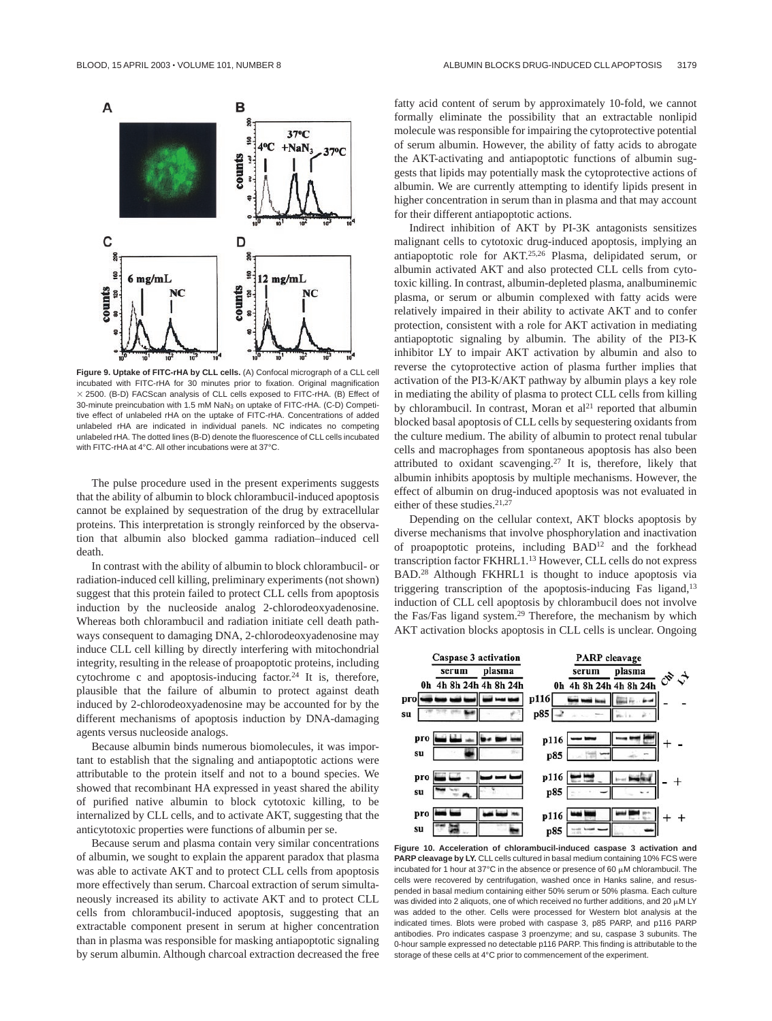

**Figure 9. Uptake of FITC-rHA by CLL cells.** (A) Confocal micrograph of a CLL cell incubated with FITC-rHA for 30 minutes prior to fixation. Original magnification  $\times$  2500. (B-D) FACScan analysis of CLL cells exposed to FITC-rHA. (B) Effect of 30-minute preincubation with 1.5 mM NaN3 on uptake of FITC-rHA. (C-D) Competitive effect of unlabeled rHA on the uptake of FITC-rHA. Concentrations of added unlabeled rHA are indicated in individual panels. NC indicates no competing unlabeled rHA. The dotted lines (B-D) denote the fluorescence of CLL cells incubated with FITC-rHA at 4°C. All other incubations were at 37°C.

The pulse procedure used in the present experiments suggests that the ability of albumin to block chlorambucil-induced apoptosis cannot be explained by sequestration of the drug by extracellular proteins. This interpretation is strongly reinforced by the observation that albumin also blocked gamma radiation–induced cell death.

In contrast with the ability of albumin to block chlorambucil- or radiation-induced cell killing, preliminary experiments (not shown) suggest that this protein failed to protect CLL cells from apoptosis induction by the nucleoside analog 2-chlorodeoxyadenosine. Whereas both chlorambucil and radiation initiate cell death pathways consequent to damaging DNA, 2-chlorodeoxyadenosine may induce CLL cell killing by directly interfering with mitochondrial integrity, resulting in the release of proapoptotic proteins, including cytochrome c and apoptosis-inducing factor.<sup>24</sup> It is, therefore, plausible that the failure of albumin to protect against death induced by 2-chlorodeoxyadenosine may be accounted for by the different mechanisms of apoptosis induction by DNA-damaging agents versus nucleoside analogs.

Because albumin binds numerous biomolecules, it was important to establish that the signaling and antiapoptotic actions were attributable to the protein itself and not to a bound species. We showed that recombinant HA expressed in yeast shared the ability of purified native albumin to block cytotoxic killing, to be internalized by CLL cells, and to activate AKT, suggesting that the anticytotoxic properties were functions of albumin per se.

Because serum and plasma contain very similar concentrations of albumin, we sought to explain the apparent paradox that plasma was able to activate AKT and to protect CLL cells from apoptosis more effectively than serum. Charcoal extraction of serum simultaneously increased its ability to activate AKT and to protect CLL cells from chlorambucil-induced apoptosis, suggesting that an extractable component present in serum at higher concentration than in plasma was responsible for masking antiapoptotic signaling by serum albumin. Although charcoal extraction decreased the free fatty acid content of serum by approximately 10-fold, we cannot formally eliminate the possibility that an extractable nonlipid molecule was responsible for impairing the cytoprotective potential of serum albumin. However, the ability of fatty acids to abrogate the AKT-activating and antiapoptotic functions of albumin suggests that lipids may potentially mask the cytoprotective actions of albumin. We are currently attempting to identify lipids present in higher concentration in serum than in plasma and that may account for their different antiapoptotic actions.

Indirect inhibition of AKT by PI-3K antagonists sensitizes malignant cells to cytotoxic drug-induced apoptosis, implying an antiapoptotic role for AKT.25,26 Plasma, delipidated serum, or albumin activated AKT and also protected CLL cells from cytotoxic killing. In contrast, albumin-depleted plasma, analbuminemic plasma, or serum or albumin complexed with fatty acids were relatively impaired in their ability to activate AKT and to confer protection, consistent with a role for AKT activation in mediating antiapoptotic signaling by albumin. The ability of the PI3-K inhibitor LY to impair AKT activation by albumin and also to reverse the cytoprotective action of plasma further implies that activation of the PI3-K/AKT pathway by albumin plays a key role in mediating the ability of plasma to protect CLL cells from killing by chlorambucil. In contrast, Moran et  $al<sup>21</sup>$  reported that albumin blocked basal apoptosis of CLL cells by sequestering oxidants from the culture medium. The ability of albumin to protect renal tubular cells and macrophages from spontaneous apoptosis has also been attributed to oxidant scavenging.27 It is, therefore, likely that albumin inhibits apoptosis by multiple mechanisms. However, the effect of albumin on drug-induced apoptosis was not evaluated in either of these studies.<sup>21,27</sup>

Depending on the cellular context, AKT blocks apoptosis by diverse mechanisms that involve phosphorylation and inactivation of proapoptotic proteins, including BAD12 and the forkhead transcription factor FKHRL1.13 However, CLL cells do not express BAD.28 Although FKHRL1 is thought to induce apoptosis via triggering transcription of the apoptosis-inducing Fas ligand,<sup>13</sup> induction of CLL cell apoptosis by chlorambucil does not involve the Fas/Fas ligand system.29 Therefore, the mechanism by which AKT activation blocks apoptosis in CLL cells is unclear. Ongoing



**Figure 10. Acceleration of chlorambucil-induced caspase 3 activation and PARP cleavage by LY.** CLL cells cultured in basal medium containing 10% FCS were incubated for 1 hour at  $37^{\circ}$ C in the absence or presence of 60  $\mu$ M chlorambucil. The cells were recovered by centrifugation, washed once in Hanks saline, and resuspended in basal medium containing either 50% serum or 50% plasma. Each culture was divided into 2 aliquots, one of which received no further additions, and 20  $\mu$ M LY was added to the other. Cells were processed for Western blot analysis at the indicated times. Blots were probed with caspase 3, p85 PARP, and p116 PARP antibodies. Pro indicates caspase 3 proenzyme; and su, caspase 3 subunits. The 0-hour sample expressed no detectable p116 PARP. This finding is attributable to the storage of these cells at 4°C prior to commencement of the experiment.